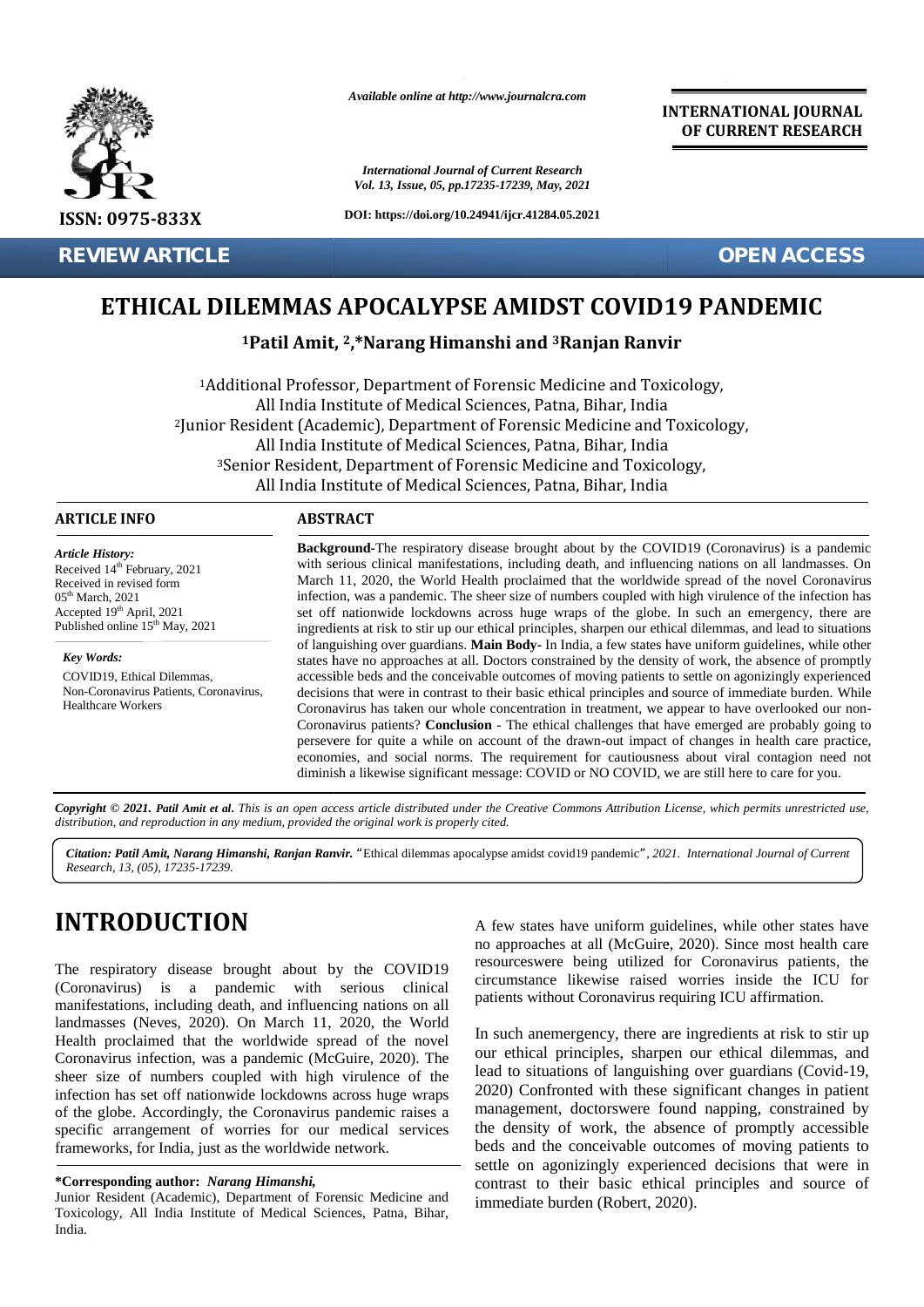

**REVIEW ARTICLE OPEN ACCESS**

*Available online at http://www.journalcra.com*

*International Journal of Current Research Vol. 13, Issue, 05, pp.17235-17239, May, 2021*

**DOI: https://doi.org/10.24941/ijcr.41284.05.2021**

**INTERNATIONAL JOURNAL OF CURRENT RESEARCH**

# **ETHICAL DILEMMAS APOCALYPSE AMIDST COVID19 PANDEMIC APOCALYPSE AMIDST**

# **<sup>1</sup>Patil Amit, <sup>2</sup>,\*Narang Himanshi and <sup>3</sup>Ranjan Ranvir Himanshi**

<sup>1</sup>Additional Professor, Department of Forensic Medicine and Toxicology, All India Institute of Medical Sciences, Patna, Bihar, India <sup>2</sup>Junior Resident (Academic), Department of Forensic Medicine and Toxicology, 2All India Institute of Medical Sciences, Patna, Bihar, India <sup>3</sup>Senior Resident, Department of Forensic Medicine and Toxicology, All India Institute of Medical Sciences, Patna, Bihar, India **ETHICAL DILEMMAS APOCALYPSE AMIDST COVID19 PANDEMIC**<br> **ETHICAL DILEMMAS APOCALYPSE AMIDST COVID19 PANDEMIC**<br>
<sup>1</sup>**Patil Amit, <sup>2</sup>,\*Narang Himanshi and <sup>3</sup>Ranjan Ranvir<br>
<sup>2</sup><br>
<sup>2</sup> Additional Professor, Department of Forensic** 

### **ARTICLE INFO ABSTRACT ARTICLE ABSTRACT**

*Article History: ArticleHistory:*Received  $14<sup>th</sup>$  February, 2021 Received in revised form Received in revised form  $05<sup>th</sup> March, 2021$ Accepted  $19<sup>th</sup>$  April, 2021 s Published online  $15^{th}$  May, 2021

*Key Words:* COVID19, Ethical Dilemmas, Non-Coronavirus Patients, Coronavirus, Healthcare Workers

**Background-**The respiratory disease brought about by the COVID19 (Coronavirus) is a pandemic with serious clinical manifestations, including death, and influencing nations on all landmasses. On March 11, 2020, the World Health proclaimed that the worldwide spread of the novel Coronavirus infection, was a pandemic. The sheer size of numbers coupled with high virulence of the infection has set off nationwide lockdowns across huge wraps of the globe. In such an emergency, there are ingredients at risk to stir up our ethical principles, sharpen our ethical dilemmas, and lead to situations of languishing over guardians. **Main Body-** In India, a few states have uniform guidelines, while other states have no approaches at all. Doctors constrained by the density of work, the absence of promptly accessible beds and the conceivable outcomes of moving patients to settle on agonizingly experienced decisions that were in contrast to their basic ethical principles and source of immediate burden. While Coronavirus has taken our whole concentration in treatment, we appear to have overlooked our non- Coronavirus patients? **Conclusion** - The ethical challenges that have emerged are probably going to persevere for quite a while on account of the drawn-out impact of changes in health care practice, economies, and social norms. The requirement for cautiousness about viral contagion need not diminish a likewise significant message: COVID or NO COVID, we are still here to care for you. **Background-**The respiratory disease brought about by the COVID19 (Coronavirus) is a pandemic with serious clinical manifestations, including death, and influencing nations on all landmasses. On March 11, 2020, the World H states have no approaches at all. Doctors constrained by the density of work, the absence of promptly<br>accessible beds and the conceivable outcomes of moving patients to settle on agonizingly experienced<br>decisions that were **EXERCISE THICAL DILEMINAS APOCALYPSE AMIDST COVID 19 PANDEMIC<br>
SISK:0075-833X<br>
SISK:007-8533X<br>
ETHICAL DILEMINAS APOCALYPSE AMIDST COVID 19 PANDEMIC<br>
FEVER ARTICLE<br>
FEVER ARTICLE TO THE MAIN AS APOCALYPSE AMIDST COVID 19 EXECT THE THE CONSTRANT COLUST THE SEARCH CONSTRANT COLUST THE SEARCH COLUST THE SEARCH CONSTRANT COLUST THE SEARCH CONSTRANT COLUST THE SAMPLE CONSTRANT CONSTRANT COLUST THE SAMPLE CONSTRANT CONSTRANT CONSTRANT CONSTRAN** 

**Copyright © 2021. Patil Amit et al.** This is an open access article distributed under the Creative Commons Attribution License, which permits unrestricted use,<br>distribution, and reproduction in any medium, provided the or *distribution, and reproduction in any medium, provided the original work is properly cited.*

*Citation: Patil Amit, Narang Himanshi, Ranjan Ranvir. "*Ethical dilemmas apocalypse amidst covid19 pandemic*", 2021. International Journal of Current Research, 13, (05), 17235-17239.*

# **INTRODUCTION INTRODUCTION**

The respiratory disease brought about by the COVID19 The respiratory disease brought about by the COVID19  $\frac{1}{2}$ <br>(Coronavirus) is a pandemic with serious clinical manifestations, including death, and influencing nations on all<br>landmasses (Neves, 2020). On March 11, 2020, the World<br>Health proclaimed that the worldwide spread of the novel landmasses (Neves, 2020). On March 11, 2020, the World Health proclaimed that the worldwide spread of the novel Coronavirus infection, was a pandemic (McGuire, 2020). The sheer size of numbers coupled with high virulence of the infection has set off nationwide lockdowns across huge wraps of the globe. Accordingly, the Coronavirus pandemic raises a specific arrangement of worries for our medical services frameworks, for India, just as the worldwide network. Coronavirus infection, was a pandemic (McGuire, 2020). The sheer size of numbers coupled with high virulence of the infection has set off nationwide lockdowns across huge wraps of the globe. Accordingly, the Coronavirus pa

#### **\*Corresponding author:** *Narang Himanshi,* **\*Corresponding** *Narang Himanshi,*

A few states have uniform guidelines, while other states have no approaches at all (McGuire, 2020). Since most health care resourceswere being utilized for Coronavirus patients, the circumstance likewise raised worries inside the ICU for patients without Coronavirus requiring ICU affirmation.

In such anemergency, there are ingredients at risk to stir up our ethical principles, sharpen our ethical dilemmas, and lead to situations of languishing over guardians (Covid-19, 2020) Confronted with these significant changes in patient management, doctorswere found napping, constrained by the density of work, the absence of promptly accessible beds and the conceivable outcomes of moving patients to settle on agonizingly experienced decisions that were in contrast to their basic ethical principles and source of immediate burden (Robert, 2020). Example 1911 Muslim Callin and System Company<br>ave uniform guidelines, while other stat<br>at all (McGuire, 2020). Since most hea<br>being utilized for Coronavirus patie<br>likewise raised worries inside the I<br>at Coronavirus requiri

Junior Resident (Academic), Department of Forensic Medicine and Toxicology, All India Institute of Medical Sciences, Patna, Bihar, India.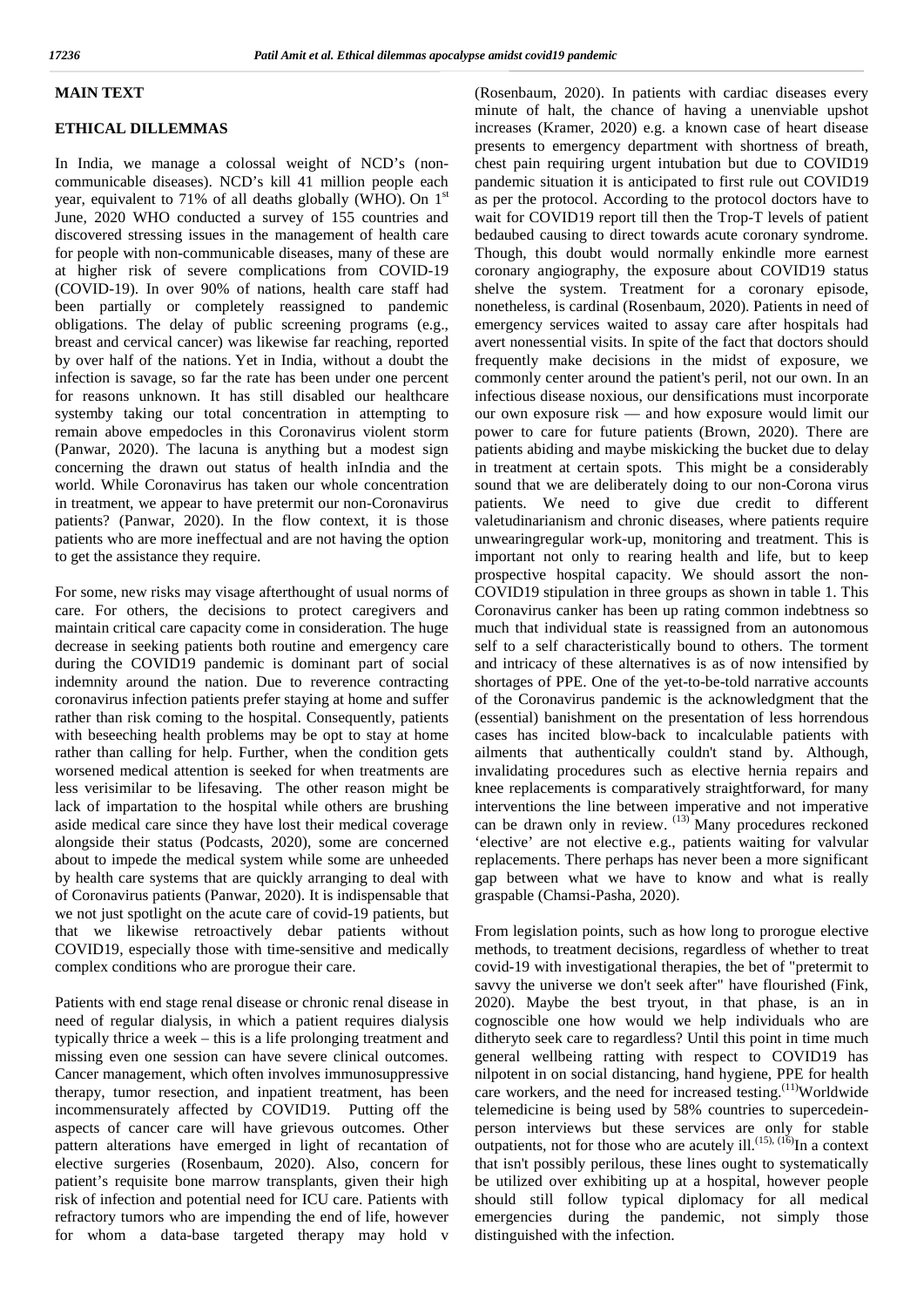# **MAIN TEXT**

# **ETHICAL DILLEMMAS**

In India, we manage a colossal weight of NCD's (non communicable diseases). NCD's kill 41 million people each year, equivalent to 71% of all deaths globally (WHO). On 1<sup>st</sup> June, 2020 WHO conducted a survey of 155 countries and discovered stressing issues in the management of health care for people with non-communicable diseases, many of these are at higher risk of severe complications from COVID-19 (COVID-19). In over 90% of nations, health care staff had been partially or completely reassigned to pandemic obligations. The delay of public screening programs (e.g., breast and cervical cancer) was likewise far reaching, reported by over half of the nations. Yet in India, without a doubt the infection is savage, so far the rate has been under one percent for reasons unknown. It has still disabled our healthcare systemby taking our total concentration in attempting to remain above empedocles in this Coronavirus violent storm (Panwar, 2020). The lacuna is anything but a modest sign concerning the drawn out status of health inIndia and the world. While Coronavirus has taken our whole concentration in treatment, we appear to have pretermit our non-Coronavirus patients? (Panwar, 2020). In the flow context, it is those patients who are more ineffectual and are not having the option to get the assistance they require.

For some, new risks may visage afterthought of usual norms of care. For others, the decisions to protect caregivers and maintain critical care capacity come in consideration. The huge decrease in seeking patients both routine and emergency care during the COVID19 pandemic is dominant part of social indemnity around the nation. Due to reverence contracting coronavirus infection patients prefer staying at home and suffer rather than risk coming to the hospital. Consequently, patients with beseeching health problems may be opt to stay at home rather than calling for help. Further, when the condition gets worsened medical attention is seeked for when treatments are less verisimilar to be lifesaving. The other reason might be lack of impartation to the hospital while others are brushing aside medical care since they have lost their medical coverage alongside their status (Podcasts, 2020), some are concerned about to impede the medical system while some are unheeded by health care systems that are quickly arranging to deal with of Coronavirus patients (Panwar, 2020). It is indispensable that we not just spotlight on the acute care of covid-19 patients, but that we likewise retroactively debar patients without COVID19, especially those with time-sensitive and medically complex conditions who are prorogue their care.

Patients with end stage renal disease or chronic renal disease in need of regular dialysis, in which a patient requires dialysis typically thrice a week – this is a life prolonging treatment and missing even one session can have severe clinical outcomes. Cancer management, which often involves immunosuppressive therapy, tumor resection, and inpatient treatment, has been incommensurately affected by COVID19. Putting off the aspects of cancer care will have grievous outcomes. Other pattern alterations have emerged in light of recantation of elective surgeries (Rosenbaum, 2020). Also, concern for patient's requisite bone marrow transplants, given their high risk of infection and potential need for ICU care. Patients with refractory tumors who are impending the end of life, however for whom a data-base targeted therapy may hold v

(Rosenbaum, 2020). In patients with cardiac diseases every minute of halt, the chance of having a unenviable upshot increases (Kramer, 2020) e.g. a known case of heart disease presents to emergency department with shortness of breath, chest pain requiring urgent intubation but due to COVID19 pandemic situation it is anticipated to first rule out COVID19 as per the protocol. According to the protocol doctors have to wait for COVID19 report till then the Trop-T levels of patient bedaubed causing to direct towards acute coronary syndrome. Though, this doubt would normally enkindle more earnest coronary angiography, the exposure about COVID19 status shelve the system. Treatment for a coronary episode, nonetheless, is cardinal (Rosenbaum, 2020). Patients in need of emergency services waited to assay care after hospitals had avert nonessential visits. In spite of the fact that doctors should frequently make decisions in the midst of exposure, we commonly center around the patient's peril, not our own. In an infectious disease noxious, our densifications must incorporate our own exposure risk — and how exposure would limit our power to care for future patients (Brown, 2020). There are patients abiding and maybe miskicking the bucket due to delay in treatment at certain spots. This might be a considerably sound that we are deliberately doing to our non-Corona virus patients. We need to give due credit to different valetudinarianism and chronic diseases, where patients require unwearingregular work-up, monitoring and treatment. This is important not only to rearing health and life, but to keep prospective hospital capacity. We should assort the non- COVID19 stipulation in three groups as shown in table 1. This Coronavirus canker has been up rating common indebtness so much that individual state is reassigned from an autonomous self to a self characteristically bound to others. The torment and intricacy of these alternatives is as of now intensified by shortages of PPE. One of the yet-to-be-told narrative accounts of the Coronavirus pandemic is the acknowledgment that the (essential) banishment on the presentation of less horrendous cases has incited blow-back to incalculable patients with ailments that authentically couldn't stand by. Although, invalidating procedures such as elective hernia repairs and knee replacements is comparatively straightforward, for many interventions the line between imperative and not imperative can be drawn only in review.  $^{(13)}$  Many procedures reckoned 'elective' are not elective e.g., patients waiting for valvular replacements. There perhaps has never been a more significant gap between what we have to know and what is really graspable (Chamsi-Pasha, 2020).

From legislation points, such as how long to prorogue elective methods, to treatment decisions, regardless of whether to treat covid-19 with investigational therapies, the bet of "pretermit to savvy the universe we don't seek after" have flourished (Fink, 2020). Maybe the best tryout, in that phase, is an in cognoscible one how would we help individuals who are ditheryto seek care to regardless? Until this point in time much general wellbeing ratting with respect to COVID19 has nilpotent in on social distancing, hand hygiene, PPE for health care workers, and the need for increased testing.<sup>(11)</sup>Worldwide telemedicine is being used by 58% countries to supercedein person interviews but these services are only for stable outpatients, not for those who are acutely ill.<sup>(15), (16)</sup>In a context that isn't possibly perilous, these lines ought to systematically be utilized over exhibiting up at a hospital, however people should still follow typical diplomacy for all medical emergencies during the pandemic, not simply those distinguished with the infection.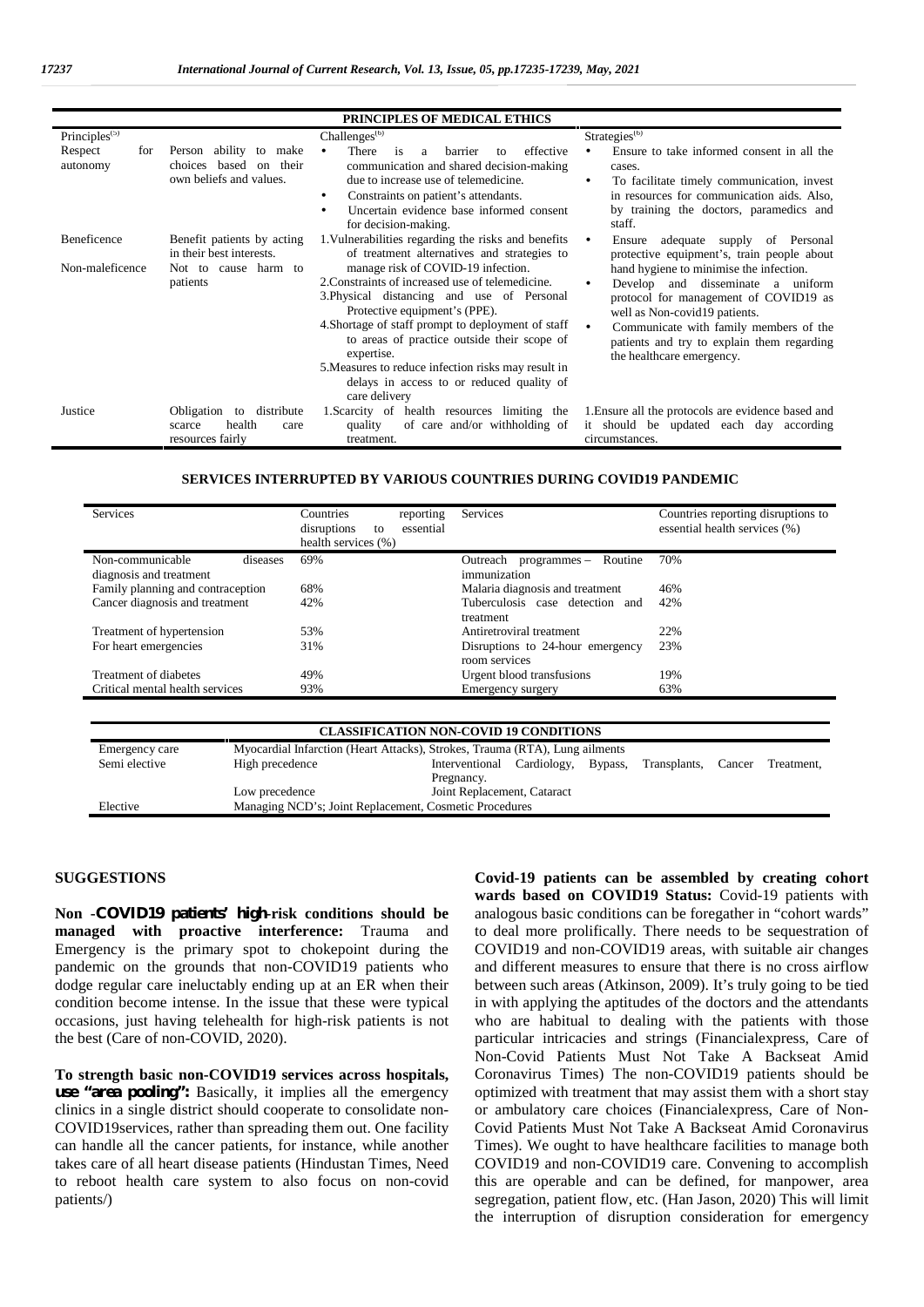| <b>PRINCIPLES OF MEDICAL ETHICS</b>    |                                                                                            |                                                                                                                                                                                                                                                                                                                                                                                                               |                                                                                                                                                                                                                                                                             |  |  |  |  |  |  |
|----------------------------------------|--------------------------------------------------------------------------------------------|---------------------------------------------------------------------------------------------------------------------------------------------------------------------------------------------------------------------------------------------------------------------------------------------------------------------------------------------------------------------------------------------------------------|-----------------------------------------------------------------------------------------------------------------------------------------------------------------------------------------------------------------------------------------------------------------------------|--|--|--|--|--|--|
| Principles <sup><math>(5)</math></sup> |                                                                                            | Challenges <sup>(6)</sup>                                                                                                                                                                                                                                                                                                                                                                                     | Strategies <sup>(6)</sup>                                                                                                                                                                                                                                                   |  |  |  |  |  |  |
| Respect<br>for<br>autonomy             | Person ability<br>to<br>make<br>their<br>choices<br>based<br>on<br>own beliefs and values. | There<br>effective<br><b>barrier</b><br>is<br>a<br>to<br>communication and shared decision-making<br>due to increase use of telemedicine.<br>Constraints on patient's attendants.<br>Uncertain evidence base informed consent<br>for decision-making.                                                                                                                                                         | Ensure to take informed consent in all the<br>cases.<br>To facilitate timely communication, invest<br>in resources for communication aids. Also,<br>by training the doctors, paramedics and<br>staff.                                                                       |  |  |  |  |  |  |
| Beneficence                            | Benefit patients by acting<br>in their best interests.                                     | 1. Vulnerabilities regarding the risks and benefits<br>of treatment alternatives and strategies to                                                                                                                                                                                                                                                                                                            | adequate supply of Personal<br>Ensure<br>protective equipment's, train people about                                                                                                                                                                                         |  |  |  |  |  |  |
| Non-maleficence                        | Not to cause harm to<br>patients                                                           | manage risk of COVID-19 infection.<br>2. Constraints of increased use of telemedicine.<br>3. Physical distancing and use of Personal<br>Protective equipment's (PPE).<br>4. Shortage of staff prompt to deployment of staff<br>to areas of practice outside their scope of<br>expertise.<br>5. Measures to reduce infection risks may result in<br>delays in access to or reduced quality of<br>care delivery | hand hygiene to minimise the infection.<br>Develop and disseminate a uniform<br>protocol for management of COVID19 as<br>well as Non-covid19 patients.<br>Communicate with family members of the<br>patients and try to explain them regarding<br>the healthcare emergency. |  |  |  |  |  |  |
| Justice                                | Obligation<br>to distribute<br>health<br>scarce<br>care<br>resources fairly                | 1. Scarcity of health resources limiting the<br>of care and/or withholding of<br>quality<br>treatment.                                                                                                                                                                                                                                                                                                        | 1. Ensure all the protocols are evidence based and<br>it should be updated each day according<br>circumstances.                                                                                                                                                             |  |  |  |  |  |  |

#### **SERVICES INTERRUPTED BY VARIOUS COUNTRIES DURING COVID19 PANDEMIC**

| <b>Services</b>                   | Countries<br>reporting<br>disruptions<br>essential<br>to<br>health services (%) | Services                                          | Countries reporting disruptions to<br>essential health services (%) |  |  |
|-----------------------------------|---------------------------------------------------------------------------------|---------------------------------------------------|---------------------------------------------------------------------|--|--|
| Non-communicable<br>diseases      | 69%                                                                             | Routine<br>Outreach<br>programmes –               | 70%                                                                 |  |  |
| diagnosis and treatment           |                                                                                 | immunization                                      |                                                                     |  |  |
| Family planning and contraception | 68%                                                                             | Malaria diagnosis and treatment                   | 46%                                                                 |  |  |
| Cancer diagnosis and treatment    | 42%                                                                             | Tuberculosis case detection and<br>treatment      | 42%                                                                 |  |  |
| Treatment of hypertension         | 53%                                                                             | Antiretroviral treatment                          | 22%                                                                 |  |  |
| For heart emergencies             | 31%                                                                             | Disruptions to 24-hour emergency<br>room services | 23%                                                                 |  |  |
| Treatment of diabetes             | 49%                                                                             | Urgent blood transfusions                         | 19%                                                                 |  |  |
| Critical mental health services   | 93%                                                                             | Emergency surgery                                 | 63%                                                                 |  |  |

| CLASSIFICATION NON-COVID 19 CONDITIONS |                                                                             |                             |             |         |              |        |            |  |  |
|----------------------------------------|-----------------------------------------------------------------------------|-----------------------------|-------------|---------|--------------|--------|------------|--|--|
| Emergency care                         | Myocardial Infarction (Heart Attacks), Strokes, Trauma (RTA), Lung ailments |                             |             |         |              |        |            |  |  |
| Semi elective                          | High precedence                                                             | Interventional              | Cardiology, | Bypass, | Transplants. | Cancer | Treatment. |  |  |
|                                        |                                                                             | Pregnancy.                  |             |         |              |        |            |  |  |
|                                        | Low precedence                                                              | Joint Replacement, Cataract |             |         |              |        |            |  |  |
| Elective                               | Managing NCD's; Joint Replacement, Cosmetic Procedures                      |                             |             |         |              |        |            |  |  |

## **SUGGESTIONS**

**Non -COVID19 patients' high-risk conditions should be managed with proactive interference:** Trauma and Emergency is the primary spot to chokepoint during the pandemic on the grounds that non-COVID19 patients who dodge regular care ineluctably ending up at an ER when their condition become intense. In the issue that these were typical occasions, just having telehealth for high-risk patients is not the best (Care of non-COVID, 2020).

**To strength basic non-COVID19 services across hospitals, use "area pooling":** Basically, it implies all the emergency clinics in a single district should cooperate to consolidate non- COVID19services, rather than spreading them out. One facility can handle all the cancer patients, for instance, while another takes care of all heart disease patients (Hindustan Times, Need to reboot health care system to also focus on non-covid patients/)

**Covid-19 patients can be assembled by creating cohort wards based on COVID19 Status:** Covid-19 patients with analogous basic conditions can be foregather in "cohort wards" to deal more prolifically. There needs to be sequestration of COVID19 and non-COVID19 areas, with suitable air changes and different measures to ensure that there is no cross airflow between such areas (Atkinson, 2009). It's truly going to be tied in with applying the aptitudes of the doctors and the attendants who are habitual to dealing with the patients with those particular intricacies and strings (Financialexpress, Care of Non-Covid Patients Must Not Take A Backseat Amid Coronavirus Times) The non-COVID19 patients should be optimized with treatment that may assist them with a short stay or ambulatory care choices (Financialexpress, Care of Non- Covid Patients Must Not Take A Backseat Amid Coronavirus Times). We ought to have healthcare facilities to manage both COVID19 and non-COVID19 care. Convening to accomplish this are operable and can be defined, for manpower, area segregation, patient flow, etc. (Han Jason, 2020) This will limit the interruption of disruption consideration for emergency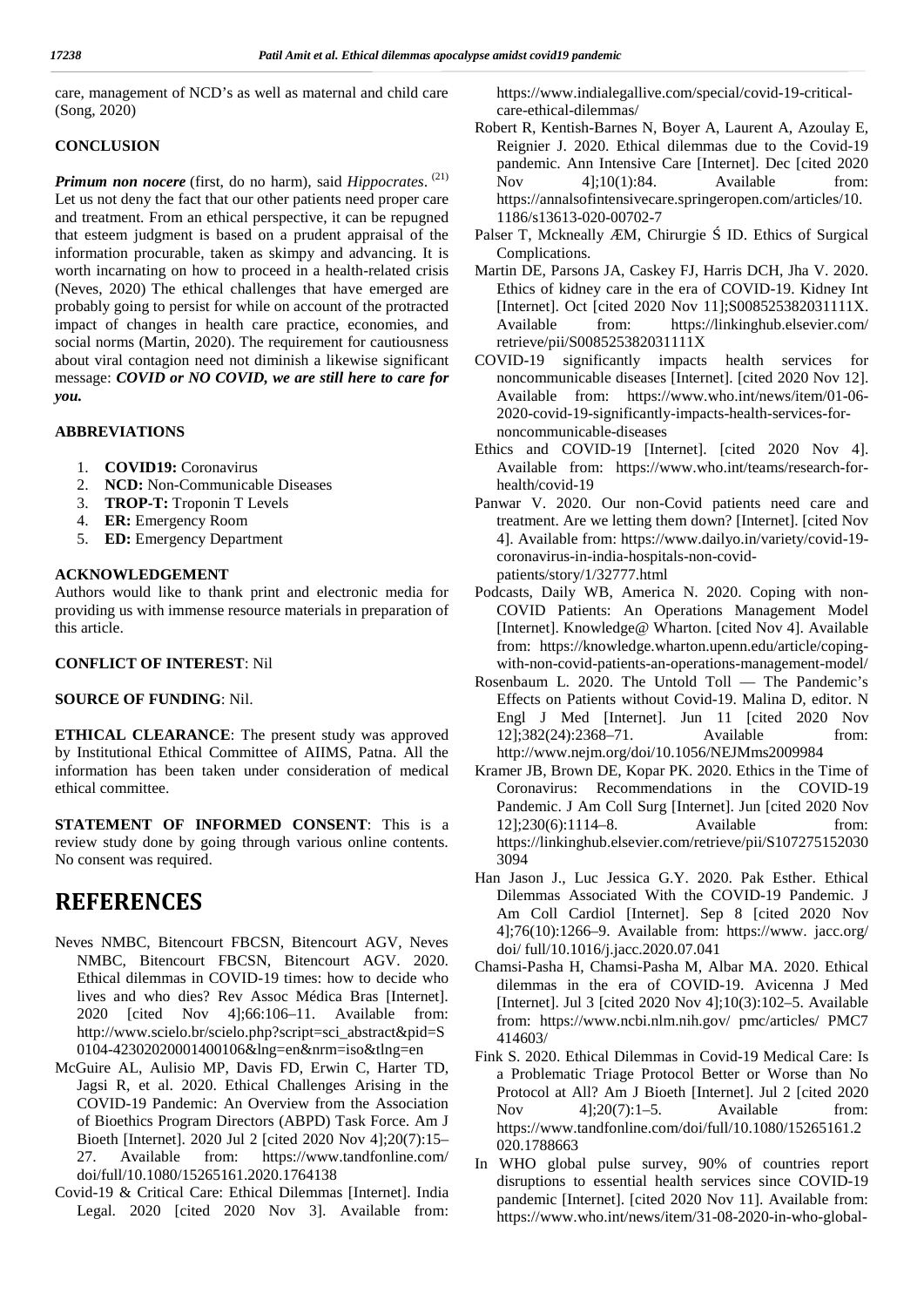care, management of NCD's as well as maternal and child care (Song, 2020)

# **CONCLUSION**

*Primum non nocere* (first, do no harm), said *Hippocrates*. (21) Let us not deny the fact that our other patients need proper care and treatment. From an ethical perspective, it can be repugned that esteem judgment is based on a prudent appraisal of the information procurable, taken as skimpy and advancing. It is worth incarnating on how to proceed in a health-related crisis (Neves, 2020) The ethical challenges that have emerged are probably going to persist for while on account of the protracted impact of changes in health care practice, economies, and social norms (Martin, 2020). The requirement for cautiousness about viral contagion need not diminish a likewise significant message: *COVID or NO COVID, we are still here to care for you.*

# **ABBREVIATIONS**

- 1. **COVID19:** Coronavirus
- 2. **NCD:** Non-Communicable Diseases
- 3. **TROP-T:** Troponin T Levels
- 4. **ER:** Emergency Room
- 5. **ED:** Emergency Department

# **ACKNOWLEDGEMENT**

Authors would like to thank print and electronic media for providing us with immense resource materials in preparation of this article.

### **CONFLICT OF INTEREST**: Nil

# **SOURCE OF FUNDING**: Nil.

**ETHICAL CLEARANCE**: The present study was approved by Institutional Ethical Committee of AIIMS, Patna. All the information has been taken under consideration of medical ethical committee.

**STATEMENT OF INFORMED CONSENT**: This is a review study done by going through various online contents. No consent was required.

# **REFERENCES**

- Neves NMBC, Bitencourt FBCSN, Bitencourt AGV, Neves NMBC, Bitencourt FBCSN, Bitencourt AGV. 2020. Ethical dilemmas in COVID-19 times: how to decide who lives and who dies? Rev Assoc Médica Bras [Internet]. 2020 [cited Nov 4];66:106–11. Available from: http://www.scielo.br/scielo.php?script=sci\_abstract&pid=S 0104-42302020001400106&lng=en&nrm=iso&tlng=en
- McGuire AL, Aulisio MP, Davis FD, Erwin C, Harter TD, Jagsi R, et al. 2020. Ethical Challenges Arising in the COVID-19 Pandemic: An Overview from the Association  $N_{\text{OV}}$ of Bioethics Program Directors (ABPD) Task Force. Am J Bioeth [Internet]. 2020 Jul 2 [cited 2020 Nov 4];20(7):15– 27. Available from: https://www.tandfonline.com/ doi/full/10.1080/15265161.2020.1764138
- Covid-19 & Critical Care: Ethical Dilemmas [Internet]. India Legal. 2020 [cited 2020 Nov 3]. Available from:

https://www.indialegallive.com/special/covid-19-critical care-ethical-dilemmas/

- Robert R, Kentish-Barnes N, Boyer A, Laurent A, Azoulay E, Reignier J. 2020. Ethical dilemmas due to the Covid-19 pandemic. Ann Intensive Care [Internet]. Dec [cited 2020 Nov 41:10(1):84. Available from: https://annalsofintensivecare.springeropen.com/articles/10. 1186/s13613-020-00702-7
- Palser T, Mckneally ÆM, Chirurgie ID. Ethics of Surgical Complications.
- Martin DE, Parsons JA, Caskey FJ, Harris DCH, Jha V. 2020. Ethics of kidney care in the era of COVID-19. Kidney Int [Internet]. Oct [cited 2020 Nov 11];S008525382031111X. from: https://linkinghub.elsevier.com/ retrieve/pii/S008525382031111X
- COVID-19 significantly impacts health services for noncommunicable diseases [Internet]. [cited 2020 Nov 12]. Available from: https://www.who.int/news/item/01-06- 2020-covid-19-significantly-impacts-health-services-for noncommunicable-diseases
- Ethics and COVID-19 [Internet]. [cited 2020 Nov 4]. Available from: https://www.who.int/teams/research-for health/covid-19
- Panwar V. 2020. Our non-Covid patients need care and treatment. Are we letting them down? [Internet]. [cited Nov 4]. Available from: https://www.dailyo.in/variety/covid-19 coronavirus-in-india-hospitals-non-covid patients/story/1/32777.html
- Podcasts, Daily WB, America N. 2020. Coping with non- COVID Patients: An Operations Management Model [Internet]. Knowledge@ Wharton. [cited Nov 4]. Available from: https://knowledge.wharton.upenn.edu/article/coping with-non-covid-patients-an-operations-management-model/
- Rosenbaum L. 2020. The Untold Toll The Pandemic's Effects on Patients without Covid-19. Malina D, editor. N Engl J Med [Internet]. Jun 11 [cited 2020 Nov 12];382(24):2368–71. Available from: http://www.nejm.org/doi/10.1056/NEJMms2009984
- Kramer JB, Brown DE, Kopar PK. 2020. Ethics in the Time of Coronavirus: Recommendations in the COVID-19 Pandemic. J Am Coll Surg [Internet]. Jun [cited 2020 Nov 12];230(6):1114–8. Available from: https://linkinghub.elsevier.com/retrieve/pii/S107275152030 3094
- Han Jason J., Luc Jessica G.Y. 2020. Pak Esther. Ethical Dilemmas Associated With the COVID-19 Pandemic. J Am Coll Cardiol [Internet]. Sep 8 [cited 2020 Nov 4];76(10):1266–9. Available from: https://www. jacc.org/ doi/ full/10.1016/j.jacc.2020.07.041
- Chamsi-Pasha H, Chamsi-Pasha M, Albar MA. 2020. Ethical dilemmas in the era of COVID-19. Avicenna J Med [Internet]. Jul 3 [cited 2020 Nov 4];10(3):102–5. Available from: https://www.ncbi.nlm.nih.gov/ pmc/articles/ PMC7 414603/
- Fink S. 2020. Ethical Dilemmas in Covid-19 Medical Care: Is a Problematic Triage Protocol Better or Worse than No Protocol at All? Am J Bioeth [Internet]. Jul 2 [cited 2020  $4$ ];20(7):1–5. Available from: https://www.tandfonline.com/doi/full/10.1080/15265161.2 020.1788663
- In WHO global pulse survey, 90% of countries report disruptions to essential health services since COVID-19 pandemic [Internet]. [cited 2020 Nov 11]. Available from: https://www.who.int/news/item/31-08-2020-in-who-global-